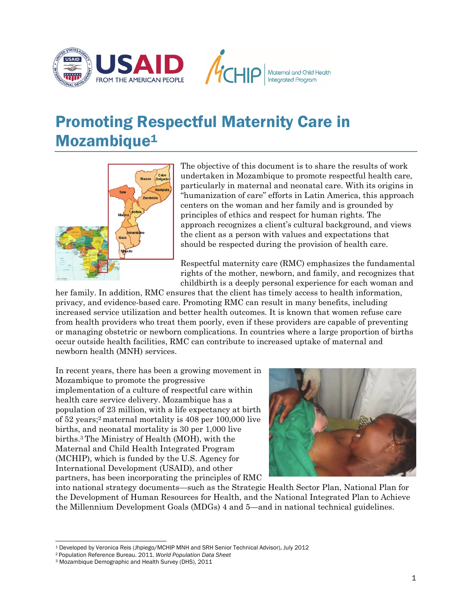

# Promoting Respectful Maternity Care in Mozambique<sup>1</sup>



The objective of this document is to share the results of work undertaken in Mozambique to promote respectful health care, particularly in maternal and neonatal care. With its origins in "humanization of care" efforts in Latin America, this approach centers on the woman and her family and is grounded by principles of ethics and respect for human rights. The approach recognizes a client's cultural background, and views the client as a person with values and expectations that should be respected during the provision of health care.

Respectful maternity care (RMC) emphasizes the fundamental rights of the mother, newborn, and family, and recognizes that childbirth is a deeply personal experience for each woman and

her family. In addition, RMC ensures that the client has timely access to health information, privacy, and evidence-based care. Promoting RMC can result in many benefits, including increased service utilization and better health outcomes. It is known that women refuse care from health providers who treat them poorly, even if these providers are capable of preventing or managing obstetric or newborn complications. In countries where a large proportion of births occur outside health facilities, RMC can contribute to increased uptake of maternal and newborn health (MNH) services.

In recent years, there has been a growing movement in Mozambique to promote the progressive implementation of a culture of respectful care within health care service delivery. Mozambique has a population of 23 million, with a life expectancy at birth of 52 years;2 maternal mortality is 408 per 100,000 live births, and neonatal mortality is 30 per 1,000 live births.3 The Ministry of Health (MOH), with the Maternal and Child Health Integrated Program (MCHIP), which is funded by the U.S. Agency for International Development (USAID), and other partners, has been incorporating the principles of RMC



into national strategy documents—such as the Strategic Health Sector Plan, National Plan for the Development of Human Resources for Health, and the National Integrated Plan to Achieve the Millennium Development Goals (MDGs) 4 and 5—and in national technical guidelines.

 $\overline{a}$ 1 Developed by Veronica Reis (Jhpiego/MCHIP MNH and SRH Senior Technical Advisor), July 2012 2 Population Reference Bureau. 2011. *World Population Data Sheet* 3 Mozambique Demographic and Health Survey (DHS), 2011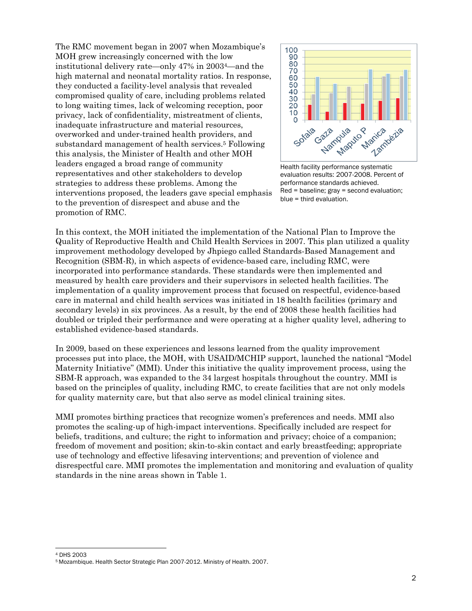The RMC movement began in 2007 when Mozambique's MOH grew increasingly concerned with the low institutional delivery rate—only 47% in 20034—and the high maternal and neonatal mortality ratios. In response, they conducted a facility-level analysis that revealed compromised quality of care, including problems related to long waiting times, lack of welcoming reception, poor privacy, lack of confidentiality, mistreatment of clients, inadequate infrastructure and material resources, overworked and under-trained health providers, and substandard management of health services.5 Following this analysis, the Minister of Health and other MOH leaders engaged a broad range of community representatives and other stakeholders to develop strategies to address these problems. Among the interventions proposed, the leaders gave special emphasis to the prevention of disrespect and abuse and the promotion of RMC.



Health facility performance systematic evaluation results: 2007-2008. Percent of performance standards achieved. Red = baseline; gray = second evaluation; blue = third evaluation.

In this context, the MOH initiated the implementation of the National Plan to Improve the Quality of Reproductive Health and Child Health Services in 2007. This plan utilized a quality improvement methodology developed by Jhpiego called Standards-Based Management and Recognition (SBM-R), in which aspects of evidence-based care, including RMC, were incorporated into performance standards. These standards were then implemented and measured by health care providers and their supervisors in selected health facilities. The implementation of a quality improvement process that focused on respectful, evidence-based care in maternal and child health services was initiated in 18 health facilities (primary and secondary levels) in six provinces. As a result, by the end of 2008 these health facilities had doubled or tripled their performance and were operating at a higher quality level, adhering to established evidence-based standards.

In 2009, based on these experiences and lessons learned from the quality improvement processes put into place, the MOH, with USAID/MCHIP support, launched the national "Model Maternity Initiative" (MMI). Under this initiative the quality improvement process, using the SBM-R approach, was expanded to the 34 largest hospitals throughout the country. MMI is based on the principles of quality, including RMC, to create facilities that are not only models for quality maternity care, but that also serve as model clinical training sites.

MMI promotes birthing practices that recognize women's preferences and needs. MMI also promotes the scaling-up of high-impact interventions. Specifically included are respect for beliefs, traditions, and culture; the right to information and privacy; choice of a companion; freedom of movement and position; skin-to-skin contact and early breastfeeding; appropriate use of technology and effective lifesaving interventions; and prevention of violence and disrespectful care. MMI promotes the implementation and monitoring and evaluation of quality standards in the nine areas shown in Table 1.

l 4 DHS 2003

<sup>5</sup> Mozambique. Health Sector Strategic Plan 2007-2012. Ministry of Health. 2007.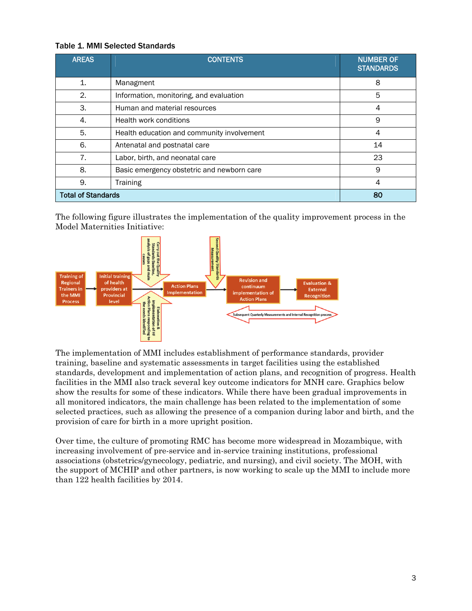### Table 1. MMI Selected Standards

| <b>AREAS</b>              | <b>CONTENTS</b>                            | <b>NUMBER OF</b><br><b>STANDARDS</b> |  |
|---------------------------|--------------------------------------------|--------------------------------------|--|
| $\mathbf{1}$ .            | Managment                                  | 8                                    |  |
| 2.                        | Information, monitoring, and evaluation    | 5                                    |  |
| 3.                        | Human and material resources               | 4                                    |  |
| 4.                        | Health work conditions                     | 9                                    |  |
| 5.                        | Health education and community involvement | 4                                    |  |
| 6.                        | Antenatal and postnatal care               | 14                                   |  |
| 7.                        | Labor, birth, and neonatal care            | 23                                   |  |
| 8.                        | Basic emergency obstetric and newborn care | 9                                    |  |
| 9.                        | <b>Training</b>                            | 4                                    |  |
| <b>Total of Standards</b> |                                            | 80                                   |  |

The following figure illustrates the implementation of the quality improvement process in the Model Maternities Initiative:



The implementation of MMI includes establishment of performance standards, provider training, baseline and systematic assessments in target facilities using the established standards, development and implementation of action plans, and recognition of progress. Health facilities in the MMI also track several key outcome indicators for MNH care. Graphics below show the results for some of these indicators. While there have been gradual improvements in all monitored indicators, the main challenge has been related to the implementation of some selected practices, such as allowing the presence of a companion during labor and birth, and the provision of care for birth in a more upright position.

Over time, the culture of promoting RMC has become more widespread in Mozambique, with increasing involvement of pre-service and in-service training institutions, professional associations (obstetrics/gynecology, pediatric, and nursing), and civil society. The MOH, with the support of MCHIP and other partners, is now working to scale up the MMI to include more than 122 health facilities by 2014.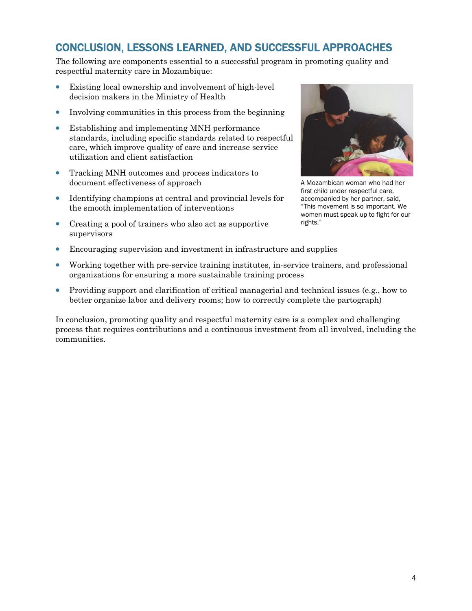## CONCLUSION, LESSONS LEARNED, AND SUCCESSFUL APPROACHES

The following are components essential to a successful program in promoting quality and respectful maternity care in Mozambique:

- Existing local ownership and involvement of high-level decision makers in the Ministry of Health
- Involving communities in this process from the beginning
- Establishing and implementing MNH performance standards, including specific standards related to respectful care, which improve quality of care and increase service utilization and client satisfaction
- Tracking MNH outcomes and process indicators to document effectiveness of approach
- Identifying champions at central and provincial levels for the smooth implementation of interventions
- Creating a pool of trainers who also act as supportive supervisors



A Mozambican woman who had her first child under respectful care, accompanied by her partner, said, "This movement is so important. We women must speak up to fight for our rights."

- Encouraging supervision and investment in infrastructure and supplies
- Working together with pre-service training institutes, in-service trainers, and professional organizations for ensuring a more sustainable training process
- Providing support and clarification of critical managerial and technical issues (e.g., how to better organize labor and delivery rooms; how to correctly complete the partograph)

In conclusion, promoting quality and respectful maternity care is a complex and challenging process that requires contributions and a continuous investment from all involved, including the communities.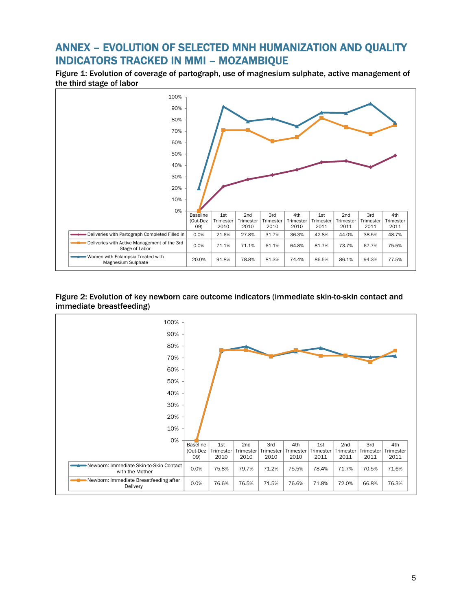### ANNEX – EVOLUTION OF SELECTED MNH HUMANIZATION AND QUALITY INDICATORS TRACKED IN MMI – MOZAMBIQUE

Figure 1: Evolution of coverage of partograph, use of magnesium sulphate, active management of the third stage of labor